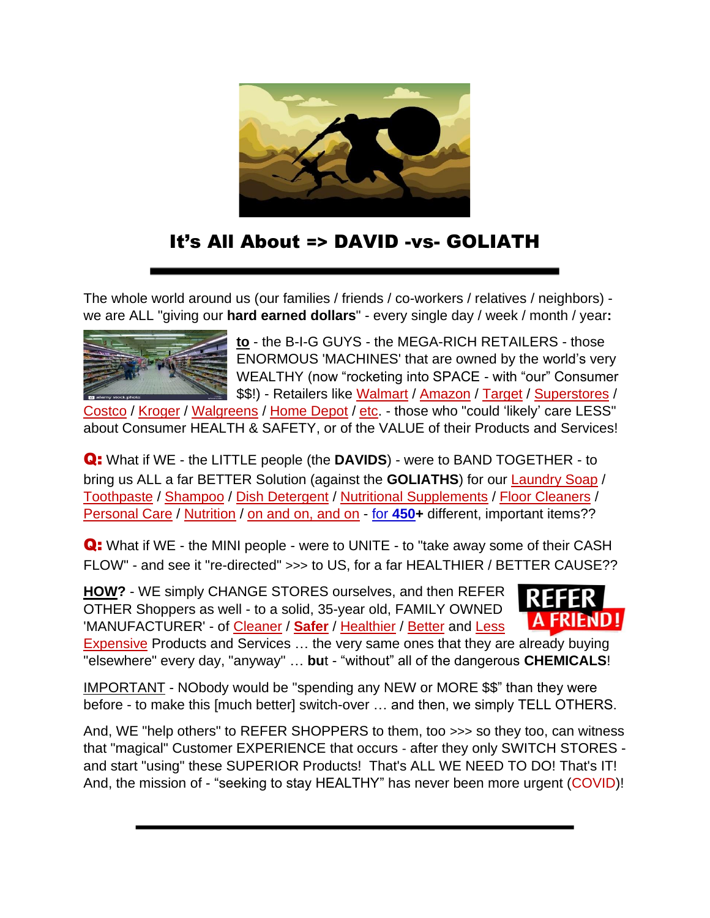

# It's All About => DAVID -vs- GOLIATH

The whole world around us (our families / friends / co-workers / relatives / neighbors) we are ALL "giving our **hard earned dollars**" - every single day / week / month / year**:**



**to** - the B-I-G GUYS - the MEGA-RICH RETAILERS - those ENORMOUS 'MACHINES' that are owned by the world's very WEALTHY (now "rocketing into SPACE - with "our" Consumer \$\$!) - Retailers like Walmart / Amazon / Target / Superstores /

Costco / Kroger / Walgreens / Home Depot / etc. - those who "could 'likely' care LESS" about Consumer HEALTH & SAFETY, or of the VALUE of their Products and Services!

Q: What if WE - the LITTLE people (the **DAVIDS**) - were to BAND TOGETHER - to bring us ALL a far BETTER Solution (against the **GOLIATHS**) for our Laundry Soap / Toothpaste / Shampoo / Dish Detergent / Nutritional Supplements / Floor Cleaners / Personal Care / Nutrition / on and on, and on - for **[450+](https://www.keepandshare.com/doc20/23368/prod-list-converted-pdf-157k?da=y)** different, important items??

Q: What if WE - the MINI people - were to UNITE - to "take away some of their CASH FLOW" - and see it "re-directed" >>> to US, for a far HEALTHIER / BETTER CAUSE??

**HOW?** - WE simply CHANGE STORES ourselves, and then REFER OTHER Shoppers as well - to a solid, 35-year old, FAMILY OWNED 'MANUFACTURER' - of Cleaner / **Safer** / Healthier / Better and Less



Expensive Products and Services ... the very same ones that they are already buying "elsewhere" every day, "anyway" … **bu**t - "without" all of the dangerous **CHEMICALS**!

IMPORTANT - NObody would be "spending any NEW or MORE \$\$" than they were before - to make this [much better] switch-over … and then, we simply TELL OTHERS.

And, WE "help others" to REFER SHOPPERS to them, too >>> so they too, can witness that "magical" Customer EXPERIENCE that occurs - after they only SWITCH STORES and start "using" these SUPERIOR Products! That's ALL WE NEED TO DO! That's IT! And, the mission of - "seeking to stay HEALTHY" has never been more urgent (COVID)!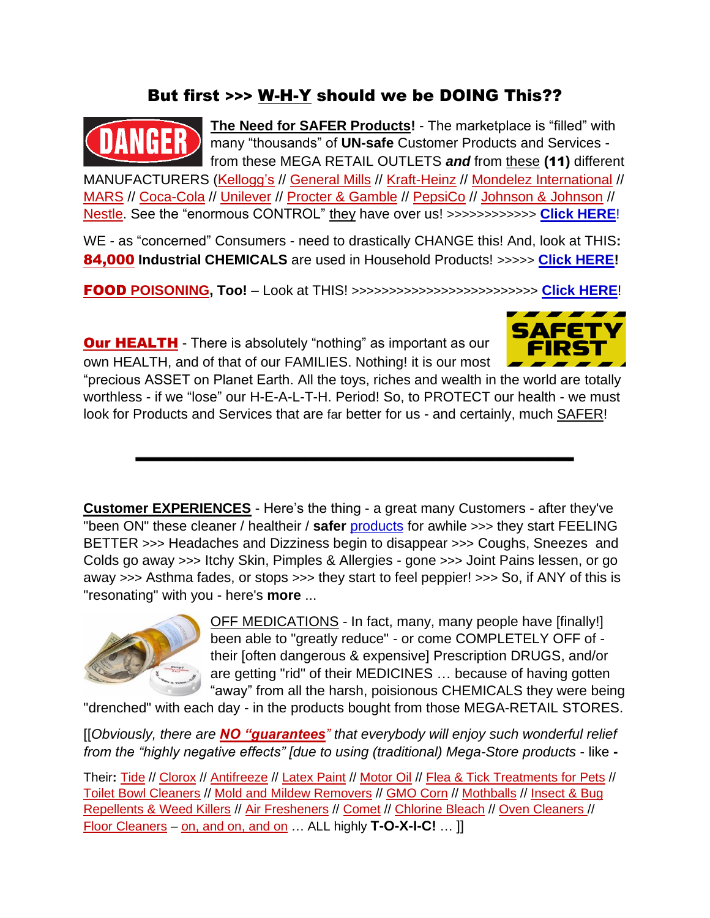## But first >>> W-H-Y should we be DOING This??



**The Need for SAFER Products!** - The marketplace is "filled" with many "thousands" of **UN-safe** Customer Products and Services from these MEGA RETAIL OUTLETS *and* from these **(**11**)** different

MANUFACTURERS (Kellogg's // General Mills // Kraft-Heinz // Mondelez International // MARS // Coca-Cola // Unilever // Procter & Gamble // PepsiCo // Johnson & Johnson // Nestle. See the "enormous CONTROL" they have over us! >>>>>>>>>>>> **[Click HERE](https://www.keepandshare.com/doc20/23422/11-in-control-converted-pdf-122k?da=y)**!

WE - as "concerned" Consumers - need to drastically CHANGE this! And, look at THIS**:** 84,000 **Industrial CHEMICALS** are used in Household Products! >>>>> **[Click HERE!](https://www.keepandshare.com/doc20/23046/dangers-converted-pdf-520k?da=y)**

FOOD **POISONING, Too!** – Look at THIS! >>>>>>>>>>>>>>>>>>>>>>>>> **[Click HERE](https://www.keepandshare.com/doc20/23041/food-poison-converted-pdf-447k?da=y)**!

**Our HEALTH** - There is absolutely "nothing" as important as our own HEALTH, and of that of our FAMILIES. Nothing! it is our most



"precious ASSET on Planet Earth. All the toys, riches and wealth in the world are totally worthless - if we "lose" our H-E-A-L-T-H. Period! So, to PROTECT our health - we must look for Products and Services that are far better for us - and certainly, much SAFER!

**Customer EXPERIENCES** - Here's the thing - a great many Customers - after they've "been ON" these cleaner / healtheir / **safer** [products](https://www.keepandshare.com/doc20/23368/prod-list-converted-pdf-157k?da=y) for awhile >>> they start FEELING BETTER >>> Headaches and Dizziness begin to disappear >>> Coughs, Sneezes and Colds go away >>> Itchy Skin, Pimples & Allergies - gone >>> Joint Pains lessen, or go away >>> Asthma fades, or stops >>> they start to feel peppier! >>> So, if ANY of this is "resonating" with you - here's **more** ...



OFF MEDICATIONS - In fact, many, many people have [finally!] been able to "greatly reduce" - or come COMPLETELY OFF of their [often dangerous & expensive] Prescription DRUGS, and/or are getting "rid" of their MEDICINES … because of having gotten "away" from all the harsh, poisionous CHEMICALS they were being

"drenched" with each day - in the products bought from those MEGA-RETAIL STORES.

[[*Obviously, there are NO "guarantees" that everybody will enjoy such wonderful relief from the "highly negative effects" [due to using (traditional) Mega-Store products* - like **-**

Their**:** Tide // Clorox // Antifreeze // Latex Paint // Motor Oil // Flea & Tick Treatments for Pets // Toilet Bowl Cleaners // Mold and Mildew Removers // GMO Corn // Mothballs // Insect & Bug Repellents & Weed Killers // Air Fresheners // Comet // Chlorine Bleach // Oven Cleaners // Floor Cleaners – on, and on, and on … ALL highly **T-O-X-I-C!** … ]]